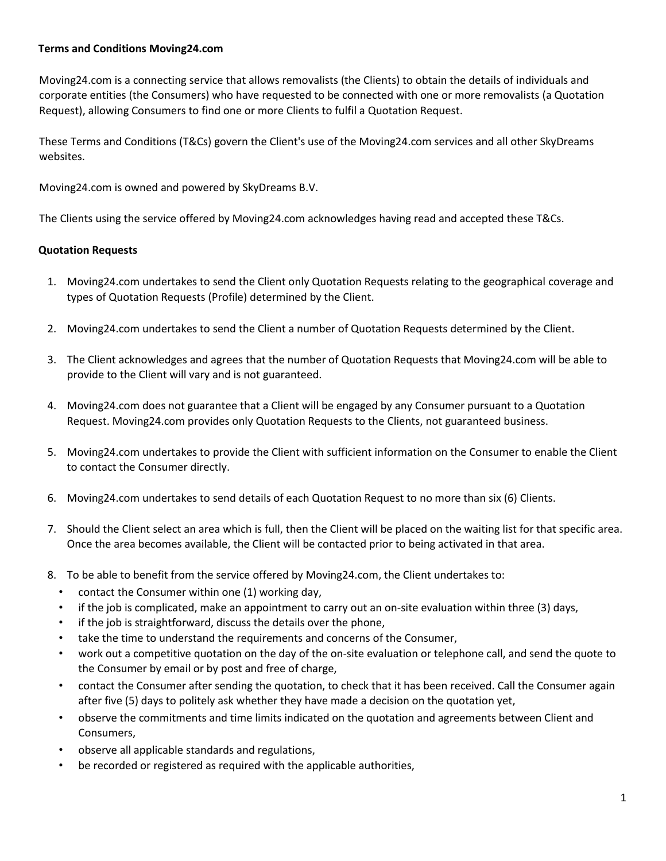## **Terms and Conditions Moving24.com**

Moving24.com is a connecting service that allows removalists (the Clients) to obtain the details of individuals and corporate entities (the Consumers) who have requested to be connected with one or more removalists (a Quotation Request), allowing Consumers to find one or more Clients to fulfil a Quotation Request.

These Terms and Conditions (T&Cs) govern the Client's use of the Moving24.com services and all other SkyDreams websites.

Moving24.com is owned and powered by SkyDreams B.V.

The Clients using the service offered by Moving24.com acknowledges having read and accepted these T&Cs.

## **Quotation Requests**

- 1. Moving24.com undertakes to send the Client only Quotation Requests relating to the geographical coverage and types of Quotation Requests (Profile) determined by the Client.
- 2. Moving24.com undertakes to send the Client a number of Quotation Requests determined by the Client.
- 3. The Client acknowledges and agrees that the number of Quotation Requests that Moving24.com will be able to provide to the Client will vary and is not guaranteed.
- 4. Moving24.com does not guarantee that a Client will be engaged by any Consumer pursuant to a Quotation Request. Moving24.com provides only Quotation Requests to the Clients, not guaranteed business.
- 5. Moving24.com undertakes to provide the Client with sufficient information on the Consumer to enable the Client to contact the Consumer directly.
- 6. Moving24.com undertakes to send details of each Quotation Request to no more than six (6) Clients.
- 7. Should the Client select an area which is full, then the Client will be placed on the waiting list for that specific area. Once the area becomes available, the Client will be contacted prior to being activated in that area.
- 8. To be able to benefit from the service offered by Moving24.com, the Client undertakes to:
	- contact the Consumer within one (1) working day,
	- if the job is complicated, make an appointment to carry out an on-site evaluation within three (3) days,
	- if the job is straightforward, discuss the details over the phone,
	- take the time to understand the requirements and concerns of the Consumer,
	- work out a competitive quotation on the day of the on-site evaluation or telephone call, and send the quote to the Consumer by email or by post and free of charge,
	- contact the Consumer after sending the quotation, to check that it has been received. Call the Consumer again after five (5) days to politely ask whether they have made a decision on the quotation yet,
	- observe the commitments and time limits indicated on the quotation and agreements between Client and Consumers,
	- observe all applicable standards and regulations,
	- be recorded or registered as required with the applicable authorities,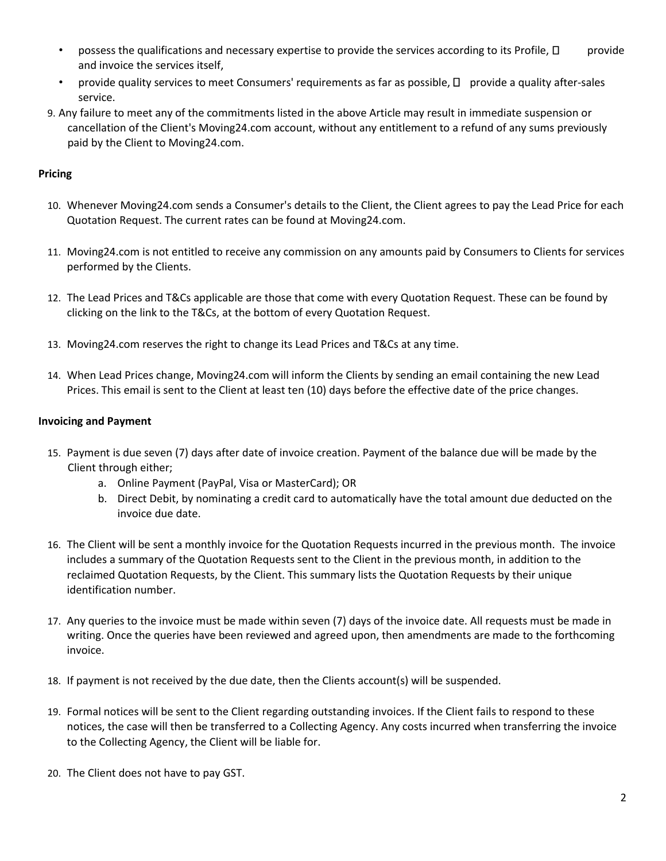- possess the qualifications and necessary expertise to provide the services according to its Profile,  $\Box$  provide and invoice the services itself,
- provide quality services to meet Consumers' requirements as far as possible,  $\Box$  provide a quality after-sales service.
- 9. Any failure to meet any of the commitments listed in the above Article may result in immediate suspension or cancellation of the Client's Moving24.com account, without any entitlement to a refund of any sums previously paid by the Client to Moving24.com.

# **Pricing**

- 10. Whenever Moving24.com sends a Consumer's details to the Client, the Client agrees to pay the Lead Price for each Quotation Request. The current rates can be found at Moving24.com.
- 11. Moving24.com is not entitled to receive any commission on any amounts paid by Consumers to Clients for services performed by the Clients.
- 12. The Lead Prices and T&Cs applicable are those that come with every Quotation Request. These can be found by clicking on the link to the T&Cs, at the bottom of every Quotation Request.
- 13. Moving24.com reserves the right to change its Lead Prices and T&Cs at any time.
- 14. When Lead Prices change, Moving24.com will inform the Clients by sending an email containing the new Lead Prices. This email is sent to the Client at least ten (10) days before the effective date of the price changes.

## **Invoicing and Payment**

- 15. Payment is due seven (7) days after date of invoice creation. Payment of the balance due will be made by the Client through either;
	- a. Online Payment (PayPal, Visa or MasterCard); OR
	- b. Direct Debit, by nominating a credit card to automatically have the total amount due deducted on the invoice due date.
- 16. The Client will be sent a monthly invoice for the Quotation Requests incurred in the previous month. The invoice includes a summary of the Quotation Requests sent to the Client in the previous month, in addition to the reclaimed Quotation Requests, by the Client. This summary lists the Quotation Requests by their unique identification number.
- 17. Any queries to the invoice must be made within seven (7) days of the invoice date. All requests must be made in writing. Once the queries have been reviewed and agreed upon, then amendments are made to the forthcoming invoice.
- 18. If payment is not received by the due date, then the Clients account(s) will be suspended.
- 19. Formal notices will be sent to the Client regarding outstanding invoices. If the Client fails to respond to these notices, the case will then be transferred to a Collecting Agency. Any costs incurred when transferring the invoice to the Collecting Agency, the Client will be liable for.
- 20. The Client does not have to pay GST.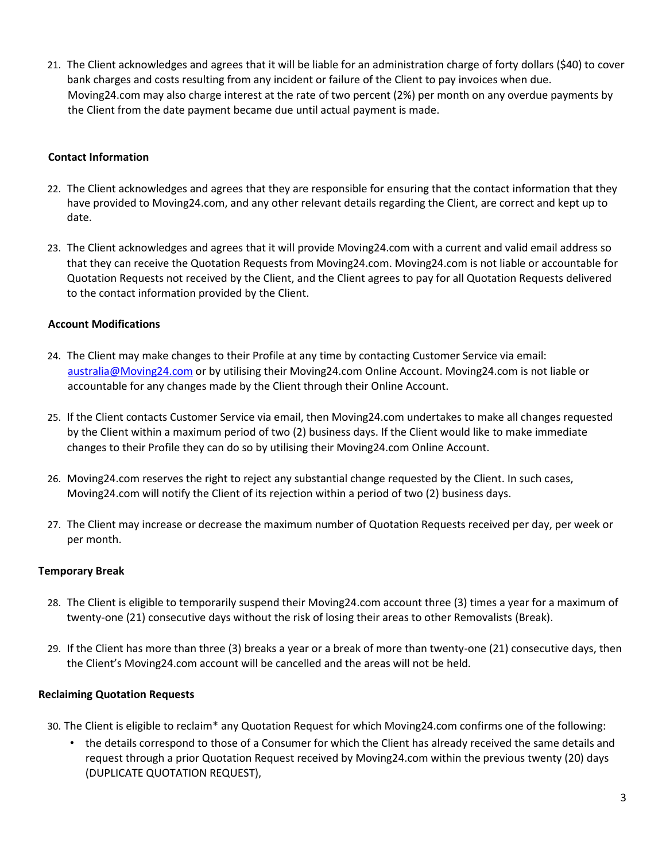21. The Client acknowledges and agrees that it will be liable for an administration charge of forty dollars (\$40) to cover bank charges and costs resulting from any incident or failure of the Client to pay invoices when due. Moving24.com may also charge interest at the rate of two percent (2%) per month on any overdue payments by the Client from the date payment became due until actual payment is made.

## **Contact Information**

- 22. The Client acknowledges and agrees that they are responsible for ensuring that the contact information that they have provided to Moving24.com, and any other relevant details regarding the Client, are correct and kept up to date.
- 23. The Client acknowledges and agrees that it will provide Moving24.com with a current and valid email address so that they can receive the Quotation Requests from Moving24.com. Moving24.com is not liable or accountable for Quotation Requests not received by the Client, and the Client agrees to pay for all Quotation Requests delivered to the contact information provided by the Client.

## **Account Modifications**

- 24. The Client may make changes to their Profile at any time by contacting Customer Service via email: australia@Moving24.com or by utilising their Moving24.com Online Account. Moving24.com is not liable or accountable for any changes made by the Client through their Online Account.
- 25. If the Client contacts Customer Service via email, then Moving24.com undertakes to make all changes requested by the Client within a maximum period of two (2) business days. If the Client would like to make immediate changes to their Profile they can do so by utilising their Moving24.com Online Account.
- 26. Moving24.com reserves the right to reject any substantial change requested by the Client. In such cases, Moving24.com will notify the Client of its rejection within a period of two (2) business days.
- 27. The Client may increase or decrease the maximum number of Quotation Requests received per day, per week or per month.

## **Temporary Break**

- 28. The Client is eligible to temporarily suspend their Moving24.com account three (3) times a year for a maximum of twenty-one (21) consecutive days without the risk of losing their areas to other Removalists (Break).
- 29. If the Client has more than three (3) breaks a year or a break of more than twenty-one (21) consecutive days, then the Client's Moving24.com account will be cancelled and the areas will not be held.

### **Reclaiming Quotation Requests**

- 30. The Client is eligible to reclaim\* any Quotation Request for which Moving24.com confirms one of the following:
	- the details correspond to those of a Consumer for which the Client has already received the same details and request through a prior Quotation Request received by Moving24.com within the previous twenty (20) days (DUPLICATE QUOTATION REQUEST),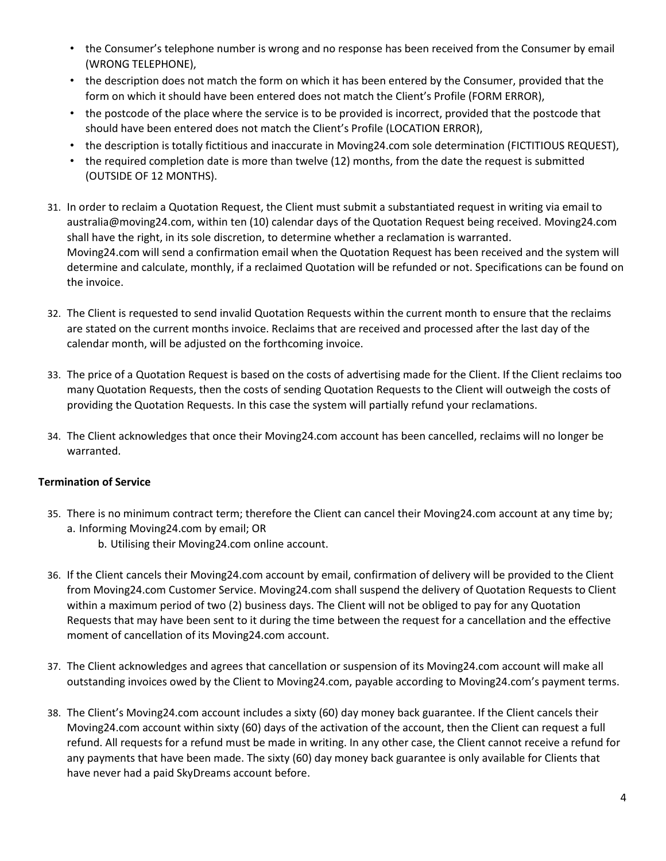- the Consumer's telephone number is wrong and no response has been received from the Consumer by email (WRONG TELEPHONE),
- the description does not match the form on which it has been entered by the Consumer, provided that the form on which it should have been entered does not match the Client's Profile (FORM ERROR),
- the postcode of the place where the service is to be provided is incorrect, provided that the postcode that should have been entered does not match the Client's Profile (LOCATION ERROR),
- the description is totally fictitious and inaccurate in Moving24.com sole determination (FICTITIOUS REQUEST),
- the required completion date is more than twelve (12) months, from the date the request is submitted (OUTSIDE OF 12 MONTHS).
- 31. In order to reclaim a Quotation Request, the Client must submit a substantiated request in writing via email to australia@moving24.com, within ten (10) calendar days of the Quotation Request being received. Moving24.com shall have the right, in its sole discretion, to determine whether a reclamation is warranted. Moving24.com will send a confirmation email when the Quotation Request has been received and the system will determine and calculate, monthly, if a reclaimed Quotation will be refunded or not. Specifications can be found on the invoice.
- 32. The Client is requested to send invalid Quotation Requests within the current month to ensure that the reclaims are stated on the current months invoice. Reclaims that are received and processed after the last day of the calendar month, will be adjusted on the forthcoming invoice.
- 33. The price of a Quotation Request is based on the costs of advertising made for the Client. If the Client reclaims too many Quotation Requests, then the costs of sending Quotation Requests to the Client will outweigh the costs of providing the Quotation Requests. In this case the system will partially refund your reclamations.
- 34. The Client acknowledges that once their Moving24.com account has been cancelled, reclaims will no longer be warranted.

## **Termination of Service**

- 35. There is no minimum contract term; therefore the Client can cancel their Moving24.com account at any time by; a. Informing Moving24.com by email; OR
	- b. Utilising their Moving24.com online account.
- 36. If the Client cancels their Moving24.com account by email, confirmation of delivery will be provided to the Client from Moving24.com Customer Service. Moving24.com shall suspend the delivery of Quotation Requests to Client within a maximum period of two (2) business days. The Client will not be obliged to pay for any Quotation Requests that may have been sent to it during the time between the request for a cancellation and the effective moment of cancellation of its Moving24.com account.
- 37. The Client acknowledges and agrees that cancellation or suspension of its Moving24.com account will make all outstanding invoices owed by the Client to Moving24.com, payable according to Moving24.com's payment terms.
- 38. The Client's Moving24.com account includes a sixty (60) day money back guarantee. If the Client cancels their Moving24.com account within sixty (60) days of the activation of the account, then the Client can request a full refund. All requests for a refund must be made in writing. In any other case, the Client cannot receive a refund for any payments that have been made. The sixty (60) day money back guarantee is only available for Clients that have never had a paid SkyDreams account before.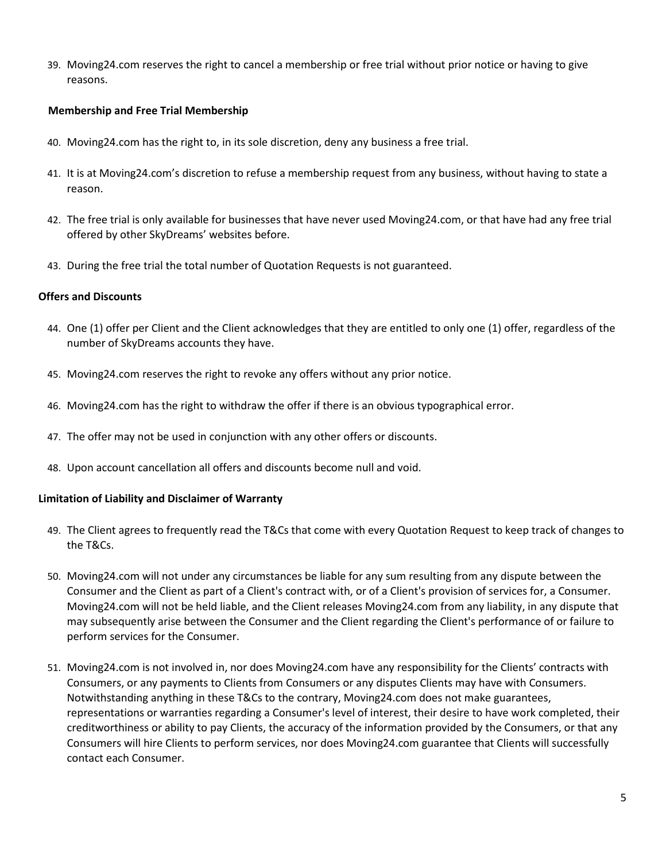39. Moving24.com reserves the right to cancel a membership or free trial without prior notice or having to give reasons.

### **Membership and Free Trial Membership**

- 40. Moving24.com has the right to, in its sole discretion, deny any business a free trial.
- 41. It is at Moving24.com's discretion to refuse a membership request from any business, without having to state a reason.
- 42. The free trial is only available for businesses that have never used Moving24.com, or that have had any free trial offered by other SkyDreams' websites before.
- 43. During the free trial the total number of Quotation Requests is not guaranteed.

### **Offers and Discounts**

- 44. One (1) offer per Client and the Client acknowledges that they are entitled to only one (1) offer, regardless of the number of SkyDreams accounts they have.
- 45. Moving24.com reserves the right to revoke any offers without any prior notice.
- 46. Moving24.com has the right to withdraw the offer if there is an obvious typographical error.
- 47. The offer may not be used in conjunction with any other offers or discounts.
- 48. Upon account cancellation all offers and discounts become null and void.

### **Limitation of Liability and Disclaimer of Warranty**

- 49. The Client agrees to frequently read the T&Cs that come with every Quotation Request to keep track of changes to the T&Cs.
- 50. Moving24.com will not under any circumstances be liable for any sum resulting from any dispute between the Consumer and the Client as part of a Client's contract with, or of a Client's provision of services for, a Consumer. Moving24.com will not be held liable, and the Client releases Moving24.com from any liability, in any dispute that may subsequently arise between the Consumer and the Client regarding the Client's performance of or failure to perform services for the Consumer.
- 51. Moving24.com is not involved in, nor does Moving24.com have any responsibility for the Clients' contracts with Consumers, or any payments to Clients from Consumers or any disputes Clients may have with Consumers. Notwithstanding anything in these T&Cs to the contrary, Moving24.com does not make guarantees, representations or warranties regarding a Consumer's level of interest, their desire to have work completed, their creditworthiness or ability to pay Clients, the accuracy of the information provided by the Consumers, or that any Consumers will hire Clients to perform services, nor does Moving24.com guarantee that Clients will successfully contact each Consumer.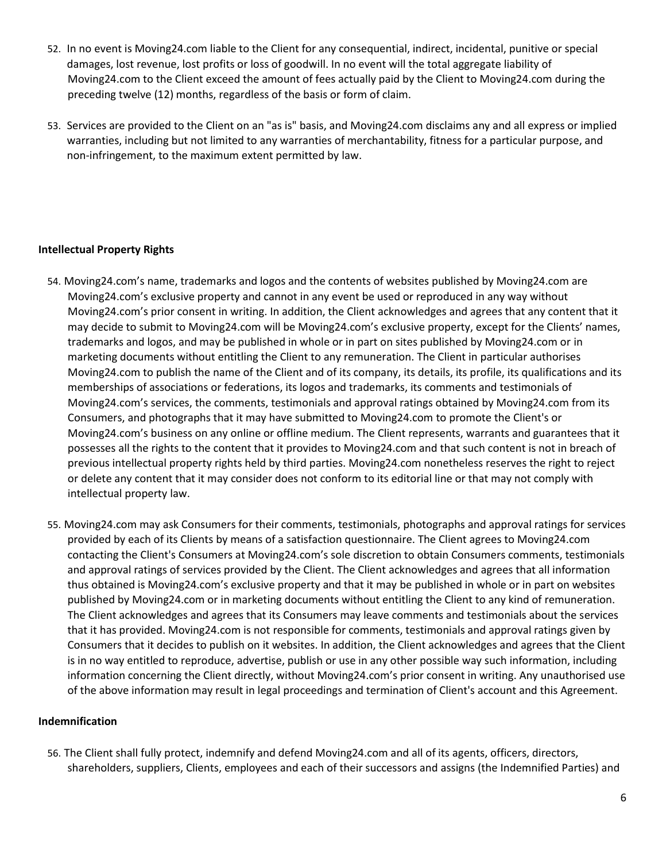- 52. In no event is Moving24.com liable to the Client for any consequential, indirect, incidental, punitive or special damages, lost revenue, lost profits or loss of goodwill. In no event will the total aggregate liability of Moving24.com to the Client exceed the amount of fees actually paid by the Client to Moving24.com during the preceding twelve (12) months, regardless of the basis or form of claim.
- 53. Services are provided to the Client on an "as is" basis, and Moving24.com disclaims any and all express or implied warranties, including but not limited to any warranties of merchantability, fitness for a particular purpose, and non-infringement, to the maximum extent permitted by law.

## **Intellectual Property Rights**

- 54. Moving24.com's name, trademarks and logos and the contents of websites published by Moving24.com are Moving24.com's exclusive property and cannot in any event be used or reproduced in any way without Moving24.com's prior consent in writing. In addition, the Client acknowledges and agrees that any content that it may decide to submit to Moving24.com will be Moving24.com's exclusive property, except for the Clients' names, trademarks and logos, and may be published in whole or in part on sites published by Moving24.com or in marketing documents without entitling the Client to any remuneration. The Client in particular authorises Moving24.com to publish the name of the Client and of its company, its details, its profile, its qualifications and its memberships of associations or federations, its logos and trademarks, its comments and testimonials of Moving24.com's services, the comments, testimonials and approval ratings obtained by Moving24.com from its Consumers, and photographs that it may have submitted to Moving24.com to promote the Client's or Moving24.com's business on any online or offline medium. The Client represents, warrants and guarantees that it possesses all the rights to the content that it provides to Moving24.com and that such content is not in breach of previous intellectual property rights held by third parties. Moving24.com nonetheless reserves the right to reject or delete any content that it may consider does not conform to its editorial line or that may not comply with intellectual property law.
- 55. Moving24.com may ask Consumers for their comments, testimonials, photographs and approval ratings for services provided by each of its Clients by means of a satisfaction questionnaire. The Client agrees to Moving24.com contacting the Client's Consumers at Moving24.com's sole discretion to obtain Consumers comments, testimonials and approval ratings of services provided by the Client. The Client acknowledges and agrees that all information thus obtained is Moving24.com's exclusive property and that it may be published in whole or in part on websites published by Moving24.com or in marketing documents without entitling the Client to any kind of remuneration. The Client acknowledges and agrees that its Consumers may leave comments and testimonials about the services that it has provided. Moving24.com is not responsible for comments, testimonials and approval ratings given by Consumers that it decides to publish on it websites. In addition, the Client acknowledges and agrees that the Client is in no way entitled to reproduce, advertise, publish or use in any other possible way such information, including information concerning the Client directly, without Moving24.com's prior consent in writing. Any unauthorised use of the above information may result in legal proceedings and termination of Client's account and this Agreement.

### **Indemnification**

56. The Client shall fully protect, indemnify and defend Moving24.com and all of its agents, officers, directors, shareholders, suppliers, Clients, employees and each of their successors and assigns (the Indemnified Parties) and